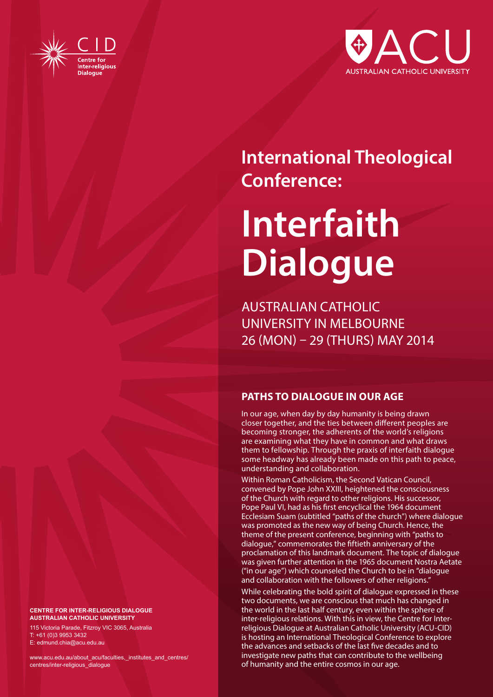



# **International Theological Conference:**

# **Interfaith Dialogue**

AUSTRALIAN CATHOLIC UNIVERSITY IN MELBOURNE 26 (MON) – 29 (THURS) MAY 2014

# **PATHS TO DIALOGUE IN OUR AGE**

In our age, when day by day humanity is being drawn closer together, and the ties between different peoples are becoming stronger, the adherents of the world's religions are examining what they have in common and what draws them to fellowship. Through the praxis of interfaith dialogue some headway has already been made on this path to peace, understanding and collaboration.

Within Roman Catholicism, the Second Vatican Council, convened by Pope John XXIII, heightened the consciousness of the Church with regard to other religions. His successor, Pope Paul VI, had as his first encyclical the 1964 document Ecclesiam Suam (subtitled "paths of the church") where dialogue was promoted as the new way of being Church. Hence, the theme of the present conference, beginning with "paths to dialogue," commemorates the fiftieth anniversary of the proclamation of this landmark document. The topic of dialogue was given further attention in the 1965 document Nostra Aetate ("in our age") which counseled the Church to be in "dialogue and collaboration with the followers of other religions."

While celebrating the bold spirit of dialogue expressed in these two documents, we are conscious that much has changed in the world in the last half century, even within the sphere of inter-religious relations. With this in view, the Centre for Interreligious Dialogue at Australian Catholic University (ACU-CID) is hosting an International Theological Conference to explore the advances and setbacks of the last five decades and to investigate new paths that can contribute to the wellbeing of humanity and the entire cosmos in our age.

**CENTRE FOR INTER-RELIGIOUS DIALOGUE AUSTRALIAN CATHOLIC UNIVERSITY**

115 Victoria Parade, Fitzroy VIC 3065, Australia T: +61 (0)3 9953 3432 E: edmund.chia@acu.edu.au

www.acu.edu.au/about\_acu/faculties,\_institutes\_and\_centres/ centres/inter-religious\_dialogue